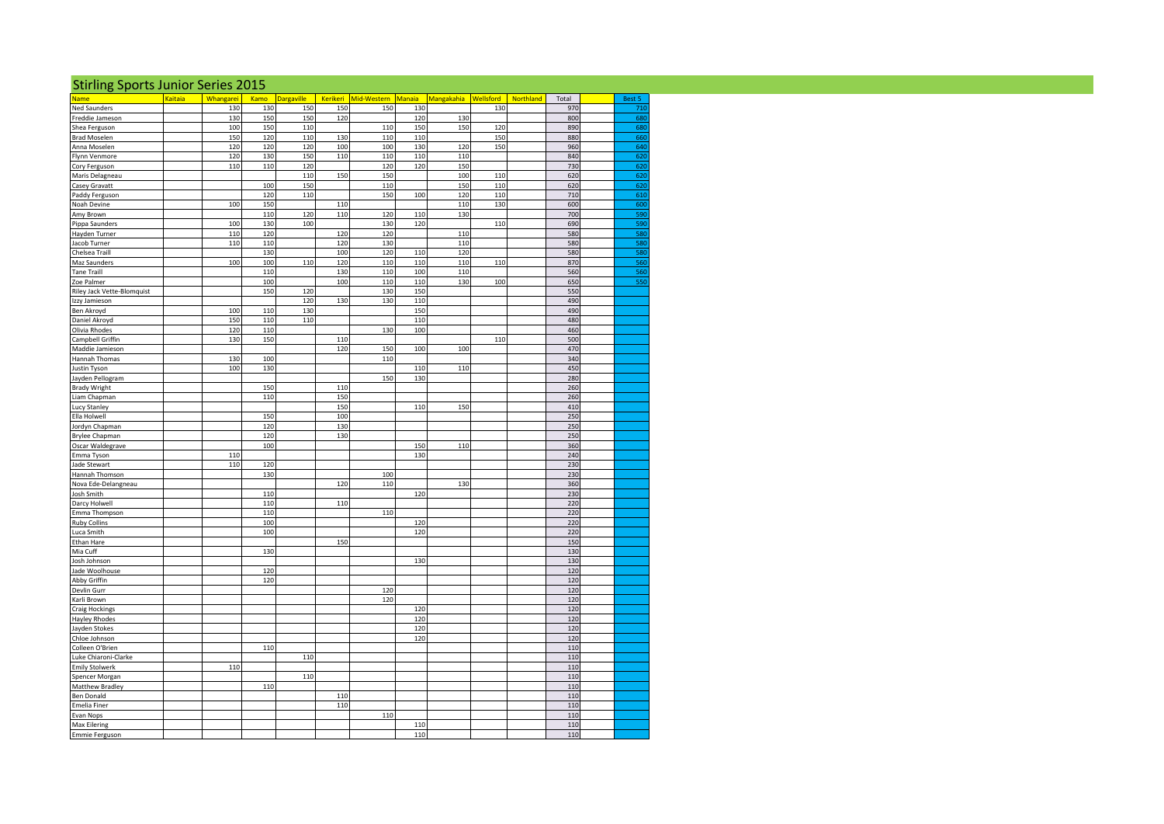| <b>Stirling Sports Junior Series 2015</b> |        |                  |            |            |            |                                                                            |            |            |     |            |                   |
|-------------------------------------------|--------|------------------|------------|------------|------------|----------------------------------------------------------------------------|------------|------------|-----|------------|-------------------|
| Name                                      | aitaia | <b>Whangarei</b> |            |            |            | Kamo Dargaville Kerikeri Mid-Western Manaia Mangakahia Wellsford Northland |            |            |     | Total      | Best 5            |
| <b>Ned Saunders</b>                       |        | 130              | 130        | 150        | 150        | 150                                                                        | 130        |            | 130 | 970        | 71                |
| Freddie Jameson                           |        | 130              | 150        | 150        | 120        |                                                                            | 120        | 130        |     | 800        | 68                |
| Shea Ferguson                             |        | 100              | 150        | 110        |            | 110                                                                        | 150        | 150        | 120 | 890        | 68                |
| <b>Brad Moselen</b>                       |        | 150              | 120        | 110        | 130        | 110                                                                        | 110        |            | 150 | 880        | -66               |
| Anna Moselen                              |        | 120<br>120       | 120<br>130 | 120<br>150 | 100        | 100<br>110                                                                 | 130<br>110 | 120<br>110 | 150 | 960<br>840 |                   |
| Flynn Venmore<br>Cory Ferguson            |        | 110              | 110        | 120        | 110        | 120                                                                        | 120        | 150        |     | 730        | 62<br>62          |
| Maris Delagneau                           |        |                  |            | 110        | 150        | 150                                                                        |            | 100        | 110 | 620        | -62               |
| Casey Gravatt                             |        |                  | 100        | 150        |            | 110                                                                        |            | 150        | 110 | 620        | -62               |
| Paddy Ferguson                            |        |                  | 120        | 110        |            | 150                                                                        | 100        | 120        | 110 | 710        | -61               |
| Noah Devine                               |        | 100              | 150        |            | 110        |                                                                            |            | 110        | 130 | 600        |                   |
| Amy Brown                                 |        |                  | 110        | 120        | 110        | 120                                                                        | 110        | 130        |     | 700        |                   |
| Pippa Saunders                            |        | 100<br>110       | 130<br>120 | 100        | 120        | 130<br>120                                                                 | 120        | 110        | 110 | 690<br>580 | -59<br><b>IRS</b> |
| Hayden Turner<br>Jacob Turner             |        | 110              | 110        |            | 120        | 130                                                                        |            | 110        |     | 580        | <b>ISS</b>        |
| Chelsea Traill                            |        |                  | 130        |            | 100        | 120                                                                        | 110        | 120        |     | 580        |                   |
| Maz Saunders                              |        | 100              | 100        | 110        | 120        | 110                                                                        | 110        | 110        | 110 | 870        |                   |
| Tane Traill                               |        |                  | 110        |            | 130        | 110                                                                        | 100        | 110        |     | 560        |                   |
| Zoe Palmer                                |        |                  | 100        |            | 100        | 110                                                                        | 110        | 130        | 100 | 650        | -55               |
| Riley Jack Vette-Blomquist                |        |                  | 150        | 120        |            | 130                                                                        | 150        |            |     | 550        |                   |
| Izzy Jamieson                             |        |                  |            | 120        | 130        | 130                                                                        | 110        |            |     | 490        |                   |
| Ben Akroyd                                |        | 100              | 110        | 130        |            |                                                                            | 150        |            |     | 490        |                   |
| Daniel Akroyd                             |        | 150              | 110        | 110        |            |                                                                            | 110        |            |     | 480        |                   |
| Olivia Rhodes                             |        | 120              | 110        |            |            | 130                                                                        | 100        |            |     | 460        |                   |
| Campbell Griffin                          |        | 130              | 150        |            | 110<br>120 | 150                                                                        | 100        | 100        | 110 | 500<br>470 |                   |
| Maddie Jamieson<br>Hannah Thomas          |        | 130              | 100        |            |            | 110                                                                        |            |            |     | 340        |                   |
| Justin Tyson                              |        | 100              | 130        |            |            |                                                                            | 110        | 110        |     | 450        |                   |
| Jayden Pellogram                          |        |                  |            |            |            | 150                                                                        | 130        |            |     | 280        |                   |
| <b>Brady Wright</b>                       |        |                  | 150        |            | 110        |                                                                            |            |            |     | 260        |                   |
| Liam Chapman                              |        |                  | 110        |            | 150        |                                                                            |            |            |     | 260        |                   |
| Lucy Stanley                              |        |                  |            |            | 150        |                                                                            | 110        | 150        |     | 410        |                   |
| Ella Holwell                              |        |                  | 150        |            | 100        |                                                                            |            |            |     | 250        |                   |
| Jordyn Chapman                            |        |                  | 120        |            | 130        |                                                                            |            |            |     | 250        |                   |
| Brylee Chapman                            |        |                  | 120        |            | 130        |                                                                            |            |            |     | 250        |                   |
| Oscar Waldegrave                          |        |                  | 100        |            |            |                                                                            | 150        | 110        |     | 360        |                   |
| Emma Tyson                                |        | 110              |            |            |            |                                                                            | 130        |            |     | 240        |                   |
| Jade Stewart                              |        | 110              | 120<br>130 |            |            |                                                                            |            |            |     | 230<br>230 |                   |
| Hannah Thomson<br>Nova Ede-Delangneau     |        |                  |            |            | 120        | 100<br>110                                                                 |            | 130        |     | 360        |                   |
| Josh Smith                                |        |                  | 110        |            |            |                                                                            | 120        |            |     | 230        |                   |
| Darcy Holwell                             |        |                  | 110        |            | 110        |                                                                            |            |            |     | 220        |                   |
| Emma Thompson                             |        |                  | 110        |            |            | 110                                                                        |            |            |     | 220        |                   |
| <b>Ruby Collins</b>                       |        |                  | 100        |            |            |                                                                            | 120        |            |     | 220        |                   |
| Luca Smith                                |        |                  | 100        |            |            |                                                                            | 120        |            |     | 220        |                   |
| Ethan Hare                                |        |                  |            |            | 150        |                                                                            |            |            |     | 150        |                   |
| Mia Cuff                                  |        |                  | 130        |            |            |                                                                            |            |            |     | 130        |                   |
| Josh Johnson                              |        |                  |            |            |            |                                                                            | 130        |            |     | 130        |                   |
| Jade Woolhouse                            |        |                  | 120        |            |            |                                                                            |            |            |     | 120        |                   |
| Abby Griffin                              |        |                  | 120        |            |            |                                                                            |            |            |     | 120        |                   |
| Devlin Gurr                               |        |                  |            |            |            | 120                                                                        |            |            |     | 120        |                   |
| Karli Brown                               |        |                  |            |            |            | 120                                                                        |            |            |     | 120<br>120 |                   |
| Craig Hockings<br>Hayley Rhodes           |        |                  |            |            |            |                                                                            | 120<br>120 |            |     | 120        |                   |
| Jayden Stokes                             |        |                  |            |            |            |                                                                            | 120        |            |     | 120        |                   |
| Chloe Johnson                             |        |                  |            |            |            |                                                                            | 120        |            |     | 120        |                   |
| Colleen O'Brien                           |        |                  | 110        |            |            |                                                                            |            |            |     | 110        |                   |
| Luke Chiaroni-Clarke                      |        |                  |            | 110        |            |                                                                            |            |            |     | 110        |                   |
| <b>Emily Stolwerk</b>                     |        | 110              |            |            |            |                                                                            |            |            |     | 110        |                   |
| Spencer Morgan                            |        |                  |            | 110        |            |                                                                            |            |            |     | 110        |                   |
| Matthew Bradley                           |        |                  | 110        |            |            |                                                                            |            |            |     | 110        |                   |
| Ben Donald                                |        |                  |            |            | 110        |                                                                            |            |            |     | 110        |                   |
| Emelia Finer                              |        |                  |            |            | 110        |                                                                            |            |            |     | 110        |                   |
| Evan Nops                                 |        |                  |            |            |            | 110                                                                        |            |            |     | 110        |                   |
| Max Eilering<br>Emmie Ferguson            |        |                  |            |            |            |                                                                            | 110<br>110 |            |     | 110<br>110 |                   |
|                                           |        |                  |            |            |            |                                                                            |            |            |     |            |                   |